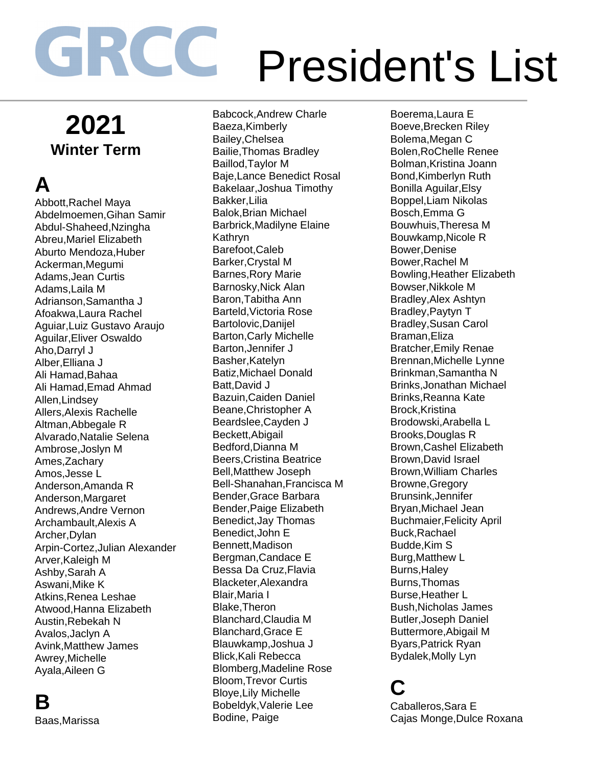## **2021 Winter Term**

## **A**

Abbott,Rachel Maya Abdelmoemen,Gihan Samir Abdul-Shaheed,Nzingha Abreu,Mariel Elizabeth Aburto Mendoza,Huber Ackerman,Megumi Adams,Jean Curtis Adams,Laila M Adrianson,Samantha J Afoakwa,Laura Rachel Aguiar,Luiz Gustavo Araujo Aguilar,Eliver Oswaldo Aho,Darryl J Alber,Elliana J Ali Hamad,Bahaa Ali Hamad,Emad Ahmad Allen,Lindsey Allers,Alexis Rachelle Altman,Abbegale R Alvarado,Natalie Selena Ambrose,Joslyn M Ames,Zachary Amos,Jesse L Anderson,Amanda R Anderson,Margaret Andrews,Andre Vernon Archambault,Alexis A Archer,Dylan Arpin-Cortez,Julian Alexander Arver,Kaleigh M Ashby,Sarah A Aswani,Mike K Atkins,Renea Leshae Atwood,Hanna Elizabeth Austin,Rebekah N Avalos,Jaclyn A Avink,Matthew James Awrey,Michelle Ayala,Aileen G

#### **B** Baas,Marissa

Babcock,Andrew Charle Baeza,Kimberly Bailey,Chelsea Bailie,Thomas Bradley Baillod,Taylor M Baje,Lance Benedict Rosal Bakelaar,Joshua Timothy Bakker,Lilia Balok,Brian Michael Barbrick,Madilyne Elaine Kathryn Barefoot,Caleb Barker,Crystal M Barnes,Rory Marie Barnosky,Nick Alan Baron,Tabitha Ann Barteld,Victoria Rose Bartolovic,Danijel Barton,Carly Michelle Barton,Jennifer J Basher,Katelyn Batiz,Michael Donald Batt,David J Bazuin,Caiden Daniel Beane,Christopher A Beardslee,Cayden J Beckett,Abigail Bedford,Dianna M Beers,Cristina Beatrice Bell,Matthew Joseph Bell-Shanahan,Francisca M Bender,Grace Barbara Bender,Paige Elizabeth Benedict,Jay Thomas Benedict,John E Bennett,Madison Bergman,Candace E Bessa Da Cruz,Flavia Blacketer,Alexandra Blair,Maria I Blake,Theron Blanchard,Claudia M Blanchard,Grace E Blauwkamp,Joshua J Blick,Kali Rebecca Blomberg,Madeline Rose Bloom,Trevor Curtis Bloye,Lily Michelle Bobeldyk,Valerie Lee Bodine, Paige

Boerema,Laura E Boeve,Brecken Riley Bolema,Megan C Bolen,RoChelle Renee Bolman,Kristina Joann Bond,Kimberlyn Ruth Bonilla Aguilar,Elsy Boppel,Liam Nikolas Bosch,Emma G Bouwhuis,Theresa M Bouwkamp,Nicole R Bower,Denise Bower,Rachel M Bowling,Heather Elizabeth Bowser,Nikkole M Bradley,Alex Ashtyn Bradley,Paytyn T Bradley,Susan Carol Braman,Eliza Bratcher,Emily Renae Brennan,Michelle Lynne Brinkman,Samantha N Brinks,Jonathan Michael Brinks,Reanna Kate Brock,Kristina Brodowski,Arabella L Brooks,Douglas R Brown,Cashel Elizabeth Brown,David Israel Brown,William Charles Browne,Gregory Brunsink,Jennifer Bryan,Michael Jean Buchmaier,Felicity April Buck,Rachael Budde,Kim S Burg,Matthew L Burns,Haley Burns,Thomas Burse,Heather L Bush,Nicholas James Butler,Joseph Daniel Buttermore,Abigail M Byars,Patrick Ryan Bydalek,Molly Lyn

#### **C**

Caballeros,Sara E Cajas Monge,Dulce Roxana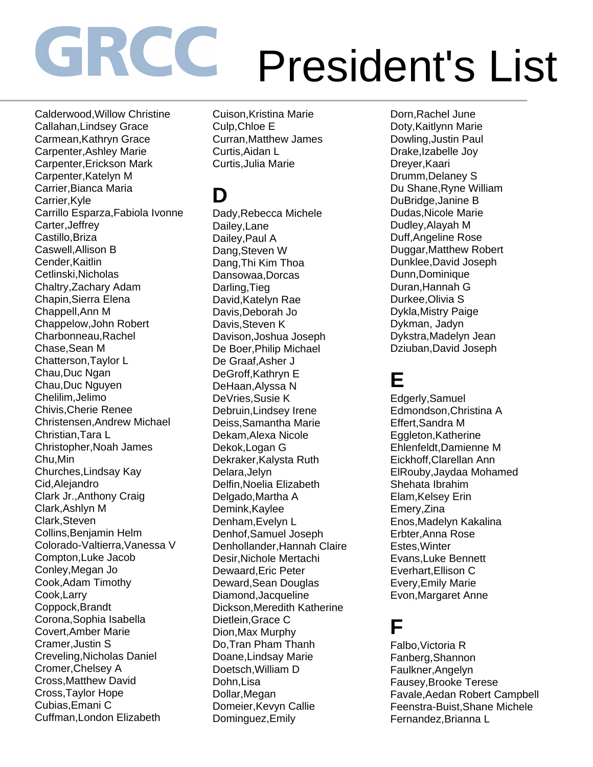Calderwood,Willow Christine Callahan,Lindsey Grace Carmean,Kathryn Grace Carpenter,Ashley Marie Carpenter,Erickson Mark Carpenter,Katelyn M Carrier,Bianca Maria Carrier,Kyle Carrillo Esparza,Fabiola Ivonne Carter,Jeffrey Castillo,Briza Caswell,Allison B Cender,Kaitlin Cetlinski,Nicholas Chaltry,Zachary Adam Chapin,Sierra Elena Chappell,Ann M Chappelow,John Robert Charbonneau,Rachel Chase,Sean M Chatterson,Taylor L Chau,Duc Ngan Chau,Duc Nguyen Chelilim,Jelimo Chivis,Cherie Renee Christensen,Andrew Michael Christian,Tara L Christopher,Noah James Chu,Min Churches,Lindsay Kay Cid,Alejandro Clark Jr.,Anthony Craig Clark,Ashlyn M Clark,Steven Collins,Benjamin Helm Colorado-Valtierra,Vanessa V Compton,Luke Jacob Conley,Megan Jo Cook,Adam Timothy Cook,Larry Coppock,Brandt Corona,Sophia Isabella Covert,Amber Marie Cramer,Justin S Creveling,Nicholas Daniel Cromer,Chelsey A Cross,Matthew David Cross,Taylor Hope Cubias,Emani C Cuffman,London Elizabeth

Cuison,Kristina Marie Culp,Chloe E Curran,Matthew James Curtis,Aidan L Curtis,Julia Marie

### **D**

Dady,Rebecca Michele Dailey,Lane Dailey,Paul A Dang,Steven W Dang,Thi Kim Thoa Dansowaa,Dorcas Darling,Tieg David,Katelyn Rae Davis,Deborah Jo Davis,Steven K Davison,Joshua Joseph De Boer,Philip Michael De Graaf,Asher J DeGroff,Kathryn E DeHaan,Alyssa N DeVries,Susie K Debruin,Lindsey Irene Deiss,Samantha Marie Dekam,Alexa Nicole Dekok,Logan G Dekraker,Kalysta Ruth Delara,Jelyn Delfin,Noelia Elizabeth Delgado,Martha A Demink,Kaylee Denham,Evelyn L Denhof,Samuel Joseph Denhollander,Hannah Claire Desir,Nichole Mertachi Dewaard,Eric Peter Deward,Sean Douglas Diamond,Jacqueline Dickson,Meredith Katherine Dietlein,Grace C Dion,Max Murphy Do,Tran Pham Thanh Doane,Lindsay Marie Doetsch,William D Dohn,Lisa Dollar,Megan Domeier,Kevyn Callie Dominguez,Emily

Dorn,Rachel June Doty,Kaitlynn Marie Dowling,Justin Paul Drake,Izabelle Joy Dreyer,Kaari Drumm,Delaney S Du Shane,Ryne William DuBridge,Janine B Dudas,Nicole Marie Dudley,Alayah M Duff,Angeline Rose Duggar,Matthew Robert Dunklee,David Joseph Dunn,Dominique Duran,Hannah G Durkee,Olivia S Dykla,Mistry Paige Dykman, Jadyn Dykstra,Madelyn Jean Dziuban,David Joseph

#### **E**

Edgerly,Samuel Edmondson,Christina A Effert,Sandra M Eggleton,Katherine Ehlenfeldt,Damienne M Eickhoff,Clarellan Ann ElRouby,Jaydaa Mohamed Shehata Ibrahim Elam,Kelsey Erin Emery,Zina Enos,Madelyn Kakalina Erbter,Anna Rose Estes,Winter Evans,Luke Bennett Everhart,Ellison C Every,Emily Marie Evon,Margaret Anne

#### **F**

Falbo,Victoria R Fanberg,Shannon Faulkner,Angelyn Fausey,Brooke Terese Favale,Aedan Robert Campbell Feenstra-Buist,Shane Michele Fernandez,Brianna L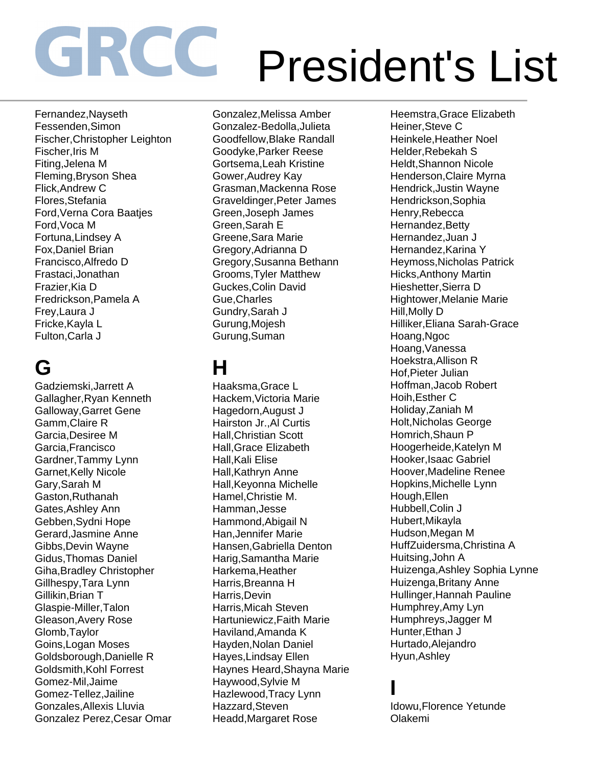Fernandez,Nayseth Fessenden,Simon Fischer,Christopher Leighton Fischer,Iris M Fiting,Jelena M Fleming,Bryson Shea Flick,Andrew C Flores,Stefania Ford,Verna Cora Baatjes Ford,Voca M Fortuna,Lindsey A Fox,Daniel Brian Francisco,Alfredo D Frastaci,Jonathan Frazier,Kia D Fredrickson,Pamela A Frey,Laura J Fricke,Kayla L Fulton,Carla J

# **G**

Gadziemski,Jarrett A Gallagher,Ryan Kenneth Galloway,Garret Gene Gamm,Claire R Garcia,Desiree M Garcia,Francisco Gardner,Tammy Lynn Garnet,Kelly Nicole Gary,Sarah M Gaston,Ruthanah Gates,Ashley Ann Gebben,Sydni Hope Gerard,Jasmine Anne Gibbs,Devin Wayne Gidus,Thomas Daniel Giha,Bradley Christopher Gillhespy,Tara Lynn Gillikin,Brian T Glaspie-Miller,Talon Gleason,Avery Rose Glomb,Taylor Goins,Logan Moses Goldsborough,Danielle R Goldsmith,Kohl Forrest Gomez-Mil,Jaime Gomez-Tellez,Jailine Gonzales,Allexis Lluvia Gonzalez Perez,Cesar Omar Gonzalez,Melissa Amber Gonzalez-Bedolla,Julieta Goodfellow,Blake Randall Goodyke,Parker Reese Gortsema,Leah Kristine Gower,Audrey Kay Grasman,Mackenna Rose Graveldinger,Peter James Green,Joseph James Green,Sarah E Greene,Sara Marie Gregory,Adrianna D Gregory,Susanna Bethann Grooms,Tyler Matthew Guckes,Colin David Gue,Charles Gundry,Sarah J Gurung,Mojesh Gurung,Suman

### **H**

Haaksma,Grace L Hackem,Victoria Marie Hagedorn,August J Hairston Jr.,Al Curtis Hall,Christian Scott Hall,Grace Elizabeth Hall,Kali Elise Hall,Kathryn Anne Hall,Keyonna Michelle Hamel,Christie M. Hamman,Jesse Hammond,Abigail N Han,Jennifer Marie Hansen,Gabriella Denton Harig,Samantha Marie Harkema,Heather Harris,Breanna H Harris,Devin Harris,Micah Steven Hartuniewicz,Faith Marie Haviland,Amanda K Hayden,Nolan Daniel Hayes,Lindsay Ellen Haynes Heard,Shayna Marie Haywood,Sylvie M Hazlewood,Tracy Lynn Hazzard,Steven Headd,Margaret Rose

Heemstra,Grace Elizabeth Heiner,Steve C Heinkele,Heather Noel Helder,Rebekah S Heldt,Shannon Nicole Henderson,Claire Myrna Hendrick,Justin Wayne Hendrickson,Sophia Henry,Rebecca Hernandez,Betty Hernandez,Juan J Hernandez,Karina Y Heymoss,Nicholas Patrick Hicks,Anthony Martin Hieshetter,Sierra D Hightower,Melanie Marie Hill,Molly D Hilliker,Eliana Sarah-Grace Hoang,Ngoc Hoang,Vanessa Hoekstra,Allison R Hof,Pieter Julian Hoffman,Jacob Robert Hoih,Esther C Holiday,Zaniah M Holt,Nicholas George Homrich,Shaun P Hoogerheide,Katelyn M Hooker,Isaac Gabriel Hoover,Madeline Renee Hopkins,Michelle Lynn Hough,Ellen Hubbell,Colin J Hubert,Mikayla Hudson,Megan M HuffZuidersma,Christina A Huitsing,John A Huizenga,Ashley Sophia Lynne Huizenga,Britany Anne Hullinger,Hannah Pauline Humphrey,Amy Lyn Humphreys,Jagger M Hunter,Ethan J Hurtado,Alejandro Hyun,Ashley

#### **I**

Idowu,Florence Yetunde Olakemi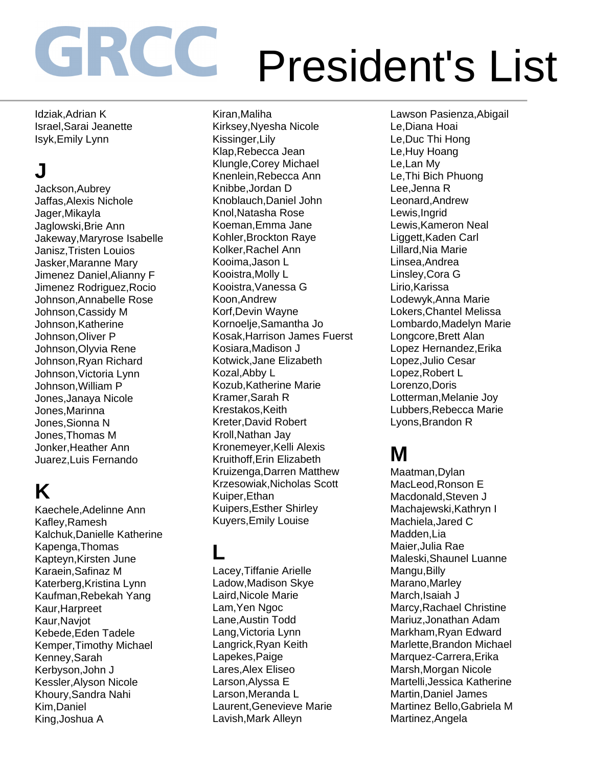Idziak,Adrian K Israel,Sarai Jeanette Isyk,Emily Lynn

## **J**

Jackson,Aubrey Jaffas,Alexis Nichole Jager,Mikayla Jaglowski,Brie Ann Jakeway,Maryrose Isabelle Janisz,Tristen Louios Jasker,Maranne Mary Jimenez Daniel,Alianny F Jimenez Rodriguez,Rocio Johnson,Annabelle Rose Johnson,Cassidy M Johnson,Katherine Johnson,Oliver P Johnson,Olyvia Rene Johnson,Ryan Richard Johnson,Victoria Lynn Johnson,William P Jones,Janaya Nicole Jones,Marinna Jones,Sionna N Jones,Thomas M Jonker,Heather Ann Juarez,Luis Fernando

### **K**

Kaechele,Adelinne Ann Kafley,Ramesh Kalchuk,Danielle Katherine Kapenga,Thomas Kapteyn,Kirsten June Karaein,Safinaz M Katerberg,Kristina Lynn Kaufman,Rebekah Yang Kaur,Harpreet Kaur,Navjot Kebede,Eden Tadele Kemper,Timothy Michael Kenney,Sarah Kerbyson,John J Kessler,Alyson Nicole Khoury,Sandra Nahi Kim,Daniel King,Joshua A

Kiran,Maliha Kirksey,Nyesha Nicole Kissinger,Lily Klap,Rebecca Jean Klungle,Corey Michael Knenlein,Rebecca Ann Knibbe,Jordan D Knoblauch,Daniel John Knol,Natasha Rose Koeman,Emma Jane Kohler,Brockton Raye Kolker,Rachel Ann Kooima,Jason L Kooistra,Molly L Kooistra,Vanessa G Koon,Andrew Korf,Devin Wayne Kornoelje,Samantha Jo Kosak,Harrison James Fuerst Kosiara,Madison J Kotwick,Jane Elizabeth Kozal,Abby L Kozub,Katherine Marie Kramer,Sarah R Krestakos,Keith Kreter,David Robert Kroll,Nathan Jay Kronemeyer,Kelli Alexis Kruithoff,Erin Elizabeth Kruizenga,Darren Matthew Krzesowiak,Nicholas Scott Kuiper,Ethan Kuipers,Esther Shirley Kuyers,Emily Louise

### **L**

Lacey,Tiffanie Arielle Ladow,Madison Skye Laird,Nicole Marie Lam,Yen Ngoc Lane,Austin Todd Lang,Victoria Lynn Langrick,Ryan Keith Lapekes,Paige Lares,Alex Eliseo Larson,Alyssa E Larson,Meranda L Laurent,Genevieve Marie Lavish,Mark Alleyn

Lawson Pasienza,Abigail Le,Diana Hoai Le,Duc Thi Hong Le,Huy Hoang Le,Lan My Le,Thi Bich Phuong Lee,Jenna R Leonard,Andrew Lewis,Ingrid Lewis,Kameron Neal Liggett,Kaden Carl Lillard,Nia Marie Linsea,Andrea Linsley,Cora G Lirio,Karissa Lodewyk,Anna Marie Lokers,Chantel Melissa Lombardo,Madelyn Marie Longcore,Brett Alan Lopez Hernandez,Erika Lopez,Julio Cesar Lopez,Robert L Lorenzo,Doris Lotterman,Melanie Joy Lubbers,Rebecca Marie Lyons,Brandon R

### **M**

Maatman,Dylan MacLeod,Ronson E Macdonald,Steven J Machajewski,Kathryn I Machiela,Jared C Madden,Lia Maier,Julia Rae Maleski,Shaunel Luanne Mangu,Billy Marano,Marley March,Isaiah J Marcy,Rachael Christine Mariuz,Jonathan Adam Markham,Ryan Edward Marlette,Brandon Michael Marquez-Carrera,Erika Marsh,Morgan Nicole Martelli,Jessica Katherine Martin,Daniel James Martinez Bello,Gabriela M Martinez,Angela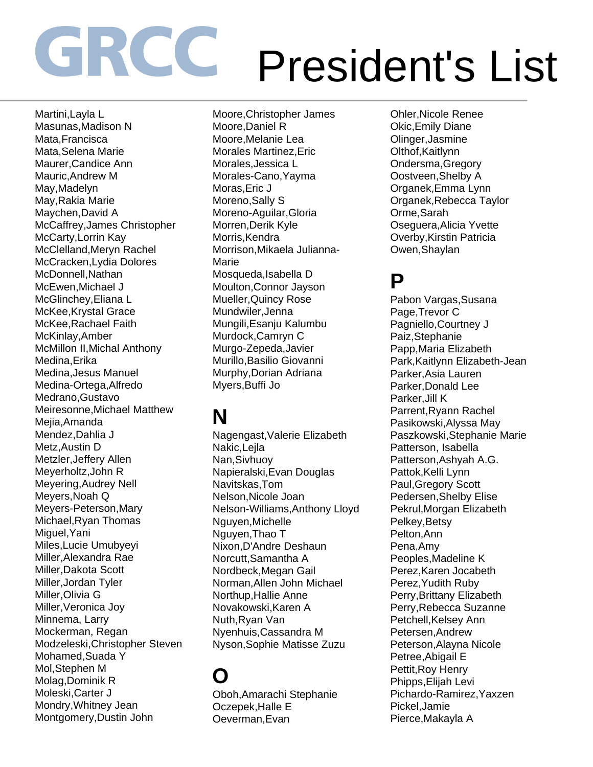Martini,Layla L Masunas,Madison N Mata,Francisca Mata,Selena Marie Maurer,Candice Ann Mauric,Andrew M May,Madelyn May,Rakia Marie Maychen,David A McCaffrey,James Christopher McCarty,Lorrin Kay McClelland,Meryn Rachel McCracken,Lydia Dolores McDonnell,Nathan McEwen,Michael J McGlinchey,Eliana L McKee,Krystal Grace McKee,Rachael Faith McKinlay,Amber McMillon II,Michal Anthony Medina,Erika Medina,Jesus Manuel Medina-Ortega,Alfredo Medrano,Gustavo Meiresonne,Michael Matthew Mejia,Amanda Mendez,Dahlia J Metz,Austin D Metzler,Jeffery Allen Meyerholtz,John R Meyering,Audrey Nell Meyers,Noah Q Meyers-Peterson,Mary Michael,Ryan Thomas Miguel,Yani Miles,Lucie Umubyeyi Miller,Alexandra Rae Miller,Dakota Scott Miller,Jordan Tyler Miller,Olivia G Miller,Veronica Joy Minnema, Larry Mockerman, Regan Modzeleski,Christopher Steven Mohamed,Suada Y Mol,Stephen M Molag,Dominik R Moleski,Carter J Mondry,Whitney Jean Montgomery,Dustin John

Moore,Christopher James Moore,Daniel R Moore,Melanie Lea Morales Martinez,Eric Morales,Jessica L Morales-Cano,Yayma Moras,Eric J Moreno,Sally S Moreno-Aguilar,Gloria Morren,Derik Kyle Morris, Kendra Morrison,Mikaela Julianna-Marie Mosqueda,Isabella D Moulton,Connor Jayson Mueller,Quincy Rose Mundwiler,Jenna Mungili,Esanju Kalumbu Murdock,Camryn C Murgo-Zepeda,Javier Murillo,Basilio Giovanni Murphy,Dorian Adriana Myers,Buffi Jo

### **N**

Nagengast,Valerie Elizabeth Nakic,Lejla Nan,Sivhuoy Napieralski,Evan Douglas Navitskas,Tom Nelson,Nicole Joan Nelson-Williams,Anthony Lloyd Nguyen,Michelle Nguyen,Thao T Nixon,D'Andre Deshaun Norcutt,Samantha A Nordbeck,Megan Gail Norman,Allen John Michael Northup,Hallie Anne Novakowski,Karen A Nuth,Ryan Van Nyenhuis,Cassandra M Nyson,Sophie Matisse Zuzu

### **O**

Oboh,Amarachi Stephanie Oczepek,Halle E Oeverman,Evan

Ohler,Nicole Renee Okic,Emily Diane Olinger,Jasmine Olthof.Kaitlynn Ondersma,Gregory Oostveen,Shelby A Organek,Emma Lynn Organek,Rebecca Taylor Orme,Sarah Oseguera,Alicia Yvette Overby,Kirstin Patricia Owen,Shaylan

#### **P**

Pabon Vargas,Susana Page,Trevor C Pagniello,Courtney J Paiz,Stephanie Papp,Maria Elizabeth Park,Kaitlynn Elizabeth-Jean Parker,Asia Lauren Parker,Donald Lee Parker,Jill K Parrent,Ryann Rachel Pasikowski,Alyssa May Paszkowski,Stephanie Marie Patterson, Isabella Patterson,Ashyah A.G. Pattok, Kelli Lynn Paul,Gregory Scott Pedersen,Shelby Elise Pekrul,Morgan Elizabeth Pelkey,Betsy Pelton,Ann Pena,Amy Peoples,Madeline K Perez,Karen Jocabeth Perez,Yudith Ruby Perry,Brittany Elizabeth Perry,Rebecca Suzanne Petchell, Kelsey Ann Petersen,Andrew Peterson,Alayna Nicole Petree,Abigail E Pettit,Roy Henry Phipps,Elijah Levi Pichardo-Ramirez,Yaxzen Pickel,Jamie Pierce,Makayla A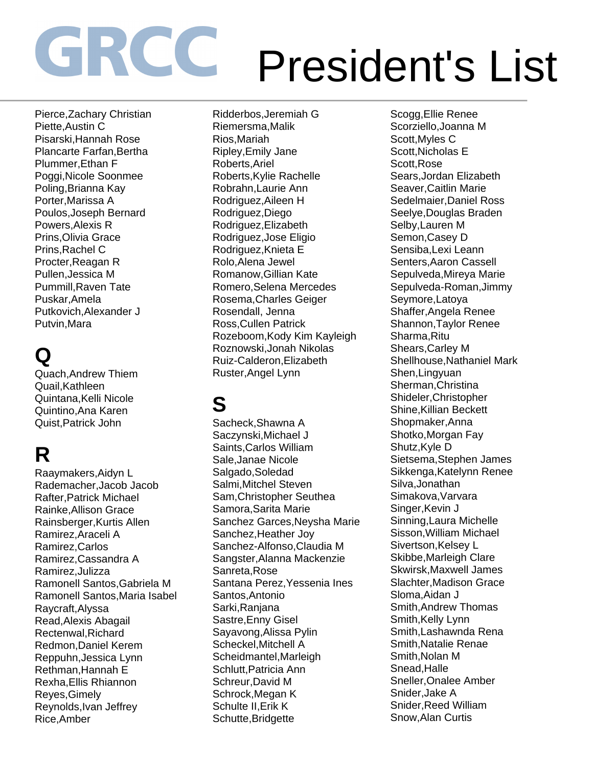Pierce,Zachary Christian Piette,Austin C Pisarski,Hannah Rose Plancarte Farfan,Bertha Plummer,Ethan F Poggi,Nicole Soonmee Poling,Brianna Kay Porter,Marissa A Poulos,Joseph Bernard Powers,Alexis R Prins,Olivia Grace Prins,Rachel C Procter,Reagan R Pullen,Jessica M Pummill,Raven Tate Puskar,Amela Putkovich,Alexander J Putvin,Mara

## **Q**

Quach,Andrew Thiem Quail,Kathleen Quintana,Kelli Nicole Quintino,Ana Karen Quist,Patrick John

# **R**

Raaymakers,Aidyn L Rademacher,Jacob Jacob Rafter,Patrick Michael Rainke,Allison Grace Rainsberger,Kurtis Allen Ramirez,Araceli A Ramirez,Carlos Ramirez,Cassandra A Ramirez,Julizza Ramonell Santos,Gabriela M Ramonell Santos,Maria Isabel Raycraft,Alyssa Read,Alexis Abagail Rectenwal,Richard Redmon,Daniel Kerem Reppuhn,Jessica Lynn Rethman,Hannah E Rexha,Ellis Rhiannon Reyes,Gimely Reynolds,Ivan Jeffrey Rice,Amber

Ridderbos,Jeremiah G Riemersma,Malik Rios,Mariah Ripley,Emily Jane Roberts,Ariel Roberts,Kylie Rachelle Robrahn,Laurie Ann Rodriguez,Aileen H Rodriguez,Diego Rodriguez,Elizabeth Rodriguez,Jose Eligio Rodriguez,Knieta E Rolo,Alena Jewel Romanow,Gillian Kate Romero,Selena Mercedes Rosema,Charles Geiger Rosendall, Jenna Ross,Cullen Patrick Rozeboom,Kody Kim Kayleigh Roznowski,Jonah Nikolas Ruiz-Calderon,Elizabeth Ruster,Angel Lynn

## **S**

Sacheck,Shawna A Saczynski,Michael J Saints,Carlos William Sale,Janae Nicole Salgado,Soledad Salmi,Mitchel Steven Sam,Christopher Seuthea Samora,Sarita Marie Sanchez Garces,Neysha Marie Sanchez,Heather Joy Sanchez-Alfonso,Claudia M Sangster,Alanna Mackenzie Sanreta,Rose Santana Perez,Yessenia Ines Santos,Antonio Sarki,Ranjana Sastre,Enny Gisel Sayavong,Alissa Pylin Scheckel,Mitchell A Scheidmantel,Marleigh Schlutt,Patricia Ann Schreur,David M Schrock,Megan K Schulte II,Erik K Schutte,Bridgette

Scogg,Ellie Renee Scorziello,Joanna M Scott,Myles C Scott,Nicholas E Scott,Rose Sears,Jordan Elizabeth Seaver,Caitlin Marie Sedelmaier,Daniel Ross Seelye,Douglas Braden Selby,Lauren M Semon,Casey D Sensiba,Lexi Leann Senters,Aaron Cassell Sepulveda,Mireya Marie Sepulveda-Roman,Jimmy Seymore,Latoya Shaffer,Angela Renee Shannon,Taylor Renee Sharma,Ritu Shears,Carley M Shellhouse,Nathaniel Mark Shen,Lingyuan Sherman,Christina Shideler,Christopher Shine,Killian Beckett Shopmaker,Anna Shotko,Morgan Fay Shutz,Kyle D Sietsema,Stephen James Sikkenga,Katelynn Renee Silva,Jonathan Simakova,Varvara Singer,Kevin J Sinning,Laura Michelle Sisson,William Michael Sivertson,Kelsey L Skibbe,Marleigh Clare Skwirsk,Maxwell James Slachter,Madison Grace Sloma,Aidan J Smith,Andrew Thomas Smith, Kelly Lynn Smith,Lashawnda Rena Smith,Natalie Renae Smith,Nolan M Snead,Halle Sneller,Onalee Amber Snider,Jake A Snider,Reed William Snow,Alan Curtis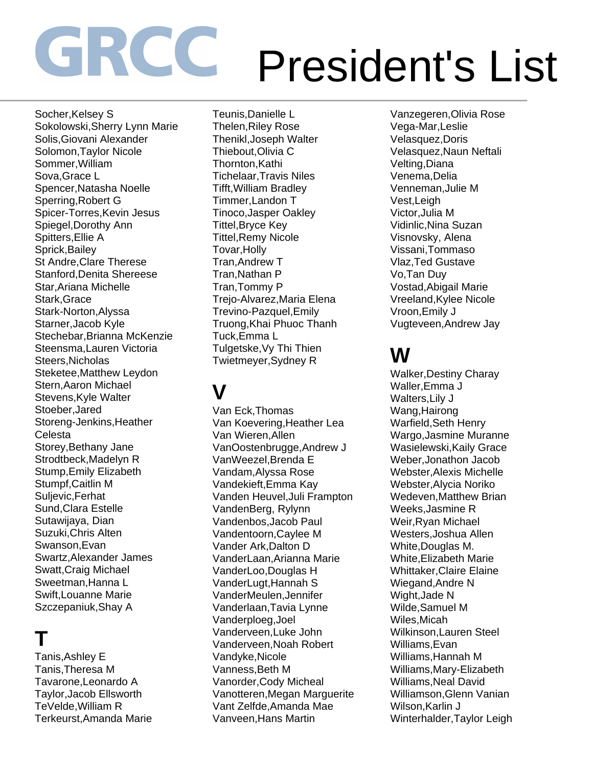Socher, Kelsey S Sokolowski,Sherry Lynn Marie Solis,Giovani Alexander Solomon,Taylor Nicole Sommer,William Sova,Grace L Spencer,Natasha Noelle Sperring,Robert G Spicer-Torres,Kevin Jesus Spiegel,Dorothy Ann Spitters,Ellie A Sprick,Bailey St Andre,Clare Therese Stanford,Denita Shereese Star,Ariana Michelle Stark,Grace Stark-Norton,Alyssa Starner,Jacob Kyle Stechebar,Brianna McKenzie Steensma,Lauren Victoria Steers,Nicholas Steketee,Matthew Leydon Stern,Aaron Michael Stevens,Kyle Walter Stoeber,Jared Storeng-Jenkins,Heather **Celesta** Storey,Bethany Jane Strodtbeck,Madelyn R Stump,Emily Elizabeth Stumpf,Caitlin M Suljevic,Ferhat Sund,Clara Estelle Sutawijaya, Dian Suzuki,Chris Alten Swanson,Evan Swartz,Alexander James Swatt,Craig Michael Sweetman,Hanna L Swift,Louanne Marie Szczepaniuk,Shay A

### **T**

Tanis,Ashley E Tanis,Theresa M Tavarone,Leonardo A Taylor,Jacob Ellsworth TeVelde,William R Terkeurst,Amanda Marie Teunis,Danielle L Thelen,Riley Rose Thenikl,Joseph Walter Thiebout,Olivia C Thornton,Kathi Tichelaar,Travis Niles Tifft,William Bradley Timmer,Landon T Tinoco,Jasper Oakley Tittel,Bryce Key Tittel,Remy Nicole Tovar,Holly Tran,Andrew T Tran,Nathan P Tran,Tommy P Trejo-Alvarez,Maria Elena Trevino-Pazquel,Emily Truong,Khai Phuoc Thanh Tuck,Emma L Tulgetske,Vy Thi Thien Twietmeyer,Sydney R

### **V**

Van Eck,Thomas Van Koevering,Heather Lea Van Wieren,Allen VanOostenbrugge,Andrew J VanWeezel,Brenda E Vandam,Alyssa Rose Vandekieft,Emma Kay Vanden Heuvel,Juli Frampton VandenBerg, Rylynn Vandenbos,Jacob Paul Vandentoorn,Caylee M Vander Ark,Dalton D VanderLaan,Arianna Marie VanderLoo,Douglas H VanderLugt,Hannah S VanderMeulen,Jennifer Vanderlaan,Tavia Lynne Vanderploeg,Joel Vanderveen,Luke John Vanderveen,Noah Robert Vandyke,Nicole Vanness,Beth M Vanorder,Cody Micheal Vanotteren,Megan Marguerite Vant Zelfde,Amanda Mae Vanveen,Hans Martin

Vanzegeren,Olivia Rose Vega-Mar,Leslie Velasquez,Doris Velasquez,Naun Neftali Velting,Diana Venema,Delia Venneman,Julie M Vest,Leigh Victor,Julia M Vidinlic,Nina Suzan Visnovsky, Alena Vissani,Tommaso Vlaz,Ted Gustave Vo,Tan Duy Vostad,Abigail Marie Vreeland,Kylee Nicole Vroon,Emily J Vugteveen,Andrew Jay

#### **W**

Walker,Destiny Charay Waller,Emma J Walters,Lily J Wang,Hairong Warfield,Seth Henry Wargo,Jasmine Muranne Wasielewski,Kaily Grace Weber,Jonathon Jacob Webster,Alexis Michelle Webster,Alycia Noriko Wedeven,Matthew Brian Weeks,Jasmine R Weir,Ryan Michael Westers,Joshua Allen White,Douglas M. White,Elizabeth Marie Whittaker,Claire Elaine Wiegand,Andre N Wight,Jade N Wilde,Samuel M Wiles,Micah Wilkinson,Lauren Steel Williams,Evan Williams,Hannah M Williams,Mary-Elizabeth Williams,Neal David Williamson,Glenn Vanian Wilson,Karlin J Winterhalder,Taylor Leigh